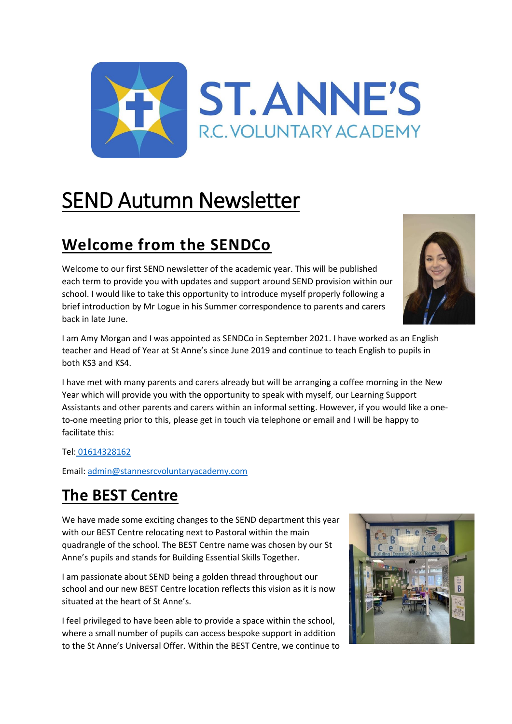

# SEND Autumn Newsletter

# **Welcome from the SENDCo**

Welcome to our first SEND newsletter of the academic year. This will be published each term to provide you with updates and support around SEND provision within our school. I would like to take this opportunity to introduce myself properly following a brief introduction by Mr Logue in his Summer correspondence to parents and carers back in late June.



I am Amy Morgan and I was appointed as SENDCo in September 2021. I have worked as an English teacher and Head of Year at St Anne's since June 2019 and continue to teach English to pupils in both KS3 and KS4.

I have met with many parents and carers already but will be arranging a coffee morning in the New Year which will provide you with the opportunity to speak with myself, our Learning Support Assistants and other parents and carers within an informal setting. However, if you would like a oneto-one meeting prior to this, please get in touch via telephone or email and I will be happy to facilitate this:

#### Tel: [01614328162](tel:01614328162)

Email: [admin@stannesrcvoluntaryacademy.com](mailto:admin@stannesrcvoluntaryacademy.com)

### **The BEST Centre**

We have made some exciting changes to the SEND department this year with our BEST Centre relocating next to Pastoral within the main quadrangle of the school. The BEST Centre name was chosen by our St Anne's pupils and stands for Building Essential Skills Together.

I am passionate about SEND being a golden thread throughout our school and our new BEST Centre location reflects this vision as it is now situated at the heart of St Anne's.

I feel privileged to have been able to provide a space within the school, where a small number of pupils can access bespoke support in addition to the St Anne's Universal Offer. Within the BEST Centre, we continue to

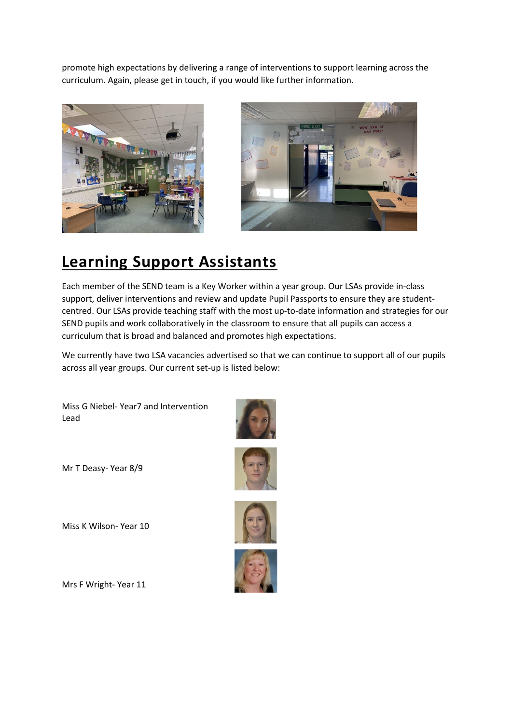promote high expectations by delivering a range of interventions to support learning across the curriculum. Again, please get in touch, if you would like further information.





### **Learning Support Assistants**

Each member of the SEND team is a Key Worker within a year group. Our LSAs provide in-class support, deliver interventions and review and update Pupil Passports to ensure they are studentcentred. Our LSAs provide teaching staff with the most up-to-date information and strategies for our SEND pupils and work collaboratively in the classroom to ensure that all pupils can access a curriculum that is broad and balanced and promotes high expectations.

We currently have two LSA vacancies advertised so that we can continue to support all of our pupils across all year groups. Our current set-up is listed below:

Miss G Niebel- Year7 and Intervention Lead

Mr T Deasy- Year 8/9

Miss K Wilson- Year 10









Mrs F Wright- Year 11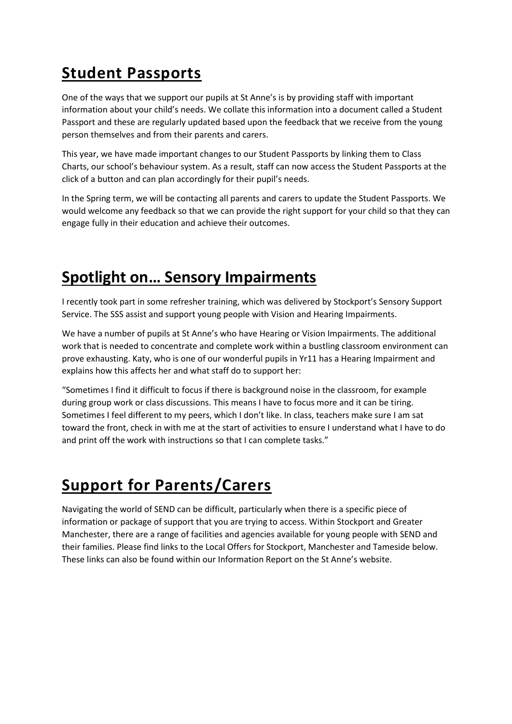# **Student Passports**

One of the ways that we support our pupils at St Anne's is by providing staff with important information about your child's needs. We collate this information into a document called a Student Passport and these are regularly updated based upon the feedback that we receive from the young person themselves and from their parents and carers.

This year, we have made important changes to our Student Passports by linking them to Class Charts, our school's behaviour system. As a result, staff can now access the Student Passports at the click of a button and can plan accordingly for their pupil's needs.

In the Spring term, we will be contacting all parents and carers to update the Student Passports. We would welcome any feedback so that we can provide the right support for your child so that they can engage fully in their education and achieve their outcomes.

### **Spotlight on… Sensory Impairments**

I recently took part in some refresher training, which was delivered by Stockport's Sensory Support Service. The SSS assist and support young people with Vision and Hearing Impairments.

We have a number of pupils at St Anne's who have Hearing or Vision Impairments. The additional work that is needed to concentrate and complete work within a bustling classroom environment can prove exhausting. Katy, who is one of our wonderful pupils in Yr11 has a Hearing Impairment and explains how this affects her and what staff do to support her:

"Sometimes I find it difficult to focus if there is background noise in the classroom, for example during group work or class discussions. This means I have to focus more and it can be tiring. Sometimes I feel different to my peers, which I don't like. In class, teachers make sure I am sat toward the front, check in with me at the start of activities to ensure I understand what I have to do and print off the work with instructions so that I can complete tasks."

# **Support for Parents/Carers**

Navigating the world of SEND can be difficult, particularly when there is a specific piece of information or package of support that you are trying to access. Within Stockport and Greater Manchester, there are a range of facilities and agencies available for young people with SEND and their families. Please find links to the Local Offers for Stockport, Manchester and Tameside below. These links can also be found within our Information Report on the St Anne's website.